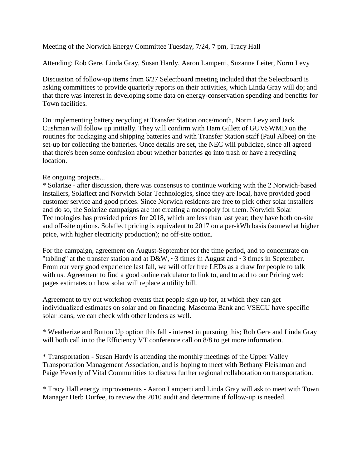Meeting of the Norwich Energy Committee Tuesday, 7/24, 7 pm, Tracy Hall

Attending: Rob Gere, Linda Gray, Susan Hardy, Aaron Lamperti, Suzanne Leiter, Norm Levy

Discussion of follow-up items from 6/27 Selectboard meeting included that the Selectboard is asking committees to provide quarterly reports on their activities, which Linda Gray will do; and that there was interest in developing some data on energy-conservation spending and benefits for Town facilities.

On implementing battery recycling at Transfer Station once/month, Norm Levy and Jack Cushman will follow up initially. They will confirm with Ham Gillett of GUVSWMD on the routines for packaging and shipping batteries and with Transfer Station staff (Paul Albee) on the set-up for collecting the batteries. Once details are set, the NEC will publicize, since all agreed that there's been some confusion about whether batteries go into trash or have a recycling location.

## Re ongoing projects...

\* Solarize - after discussion, there was consensus to continue working with the 2 Norwich-based installers, Solaflect and Norwich Solar Technologies, since they are local, have provided good customer service and good prices. Since Norwich residents are free to pick other solar installers and do so, the Solarize campaigns are not creating a monopoly for them. Norwich Solar Technologies has provided prices for 2018, which are less than last year; they have both on-site and off-site options. Solaflect pricing is equivalent to 2017 on a per-kWh basis (somewhat higher price, with higher electricity production); no off-site option.

For the campaign, agreement on August-September for the time period, and to concentrate on "tabling" at the transfer station and at D&W, ~3 times in August and ~3 times in September. From our very good experience last fall, we will offer free LEDs as a draw for people to talk with us. Agreement to find a good online calculator to link to, and to add to our Pricing web pages estimates on how solar will replace a utility bill.

Agreement to try out workshop events that people sign up for, at which they can get individualized estimates on solar and on financing. Mascoma Bank and VSECU have specific solar loans; we can check with other lenders as well.

\* Weatherize and Button Up option this fall - interest in pursuing this; Rob Gere and Linda Gray will both call in to the Efficiency VT conference call on 8/8 to get more information.

\* Transportation - Susan Hardy is attending the monthly meetings of the Upper Valley Transportation Management Association, and is hoping to meet with Bethany Fleishman and Paige Heverly of Vital Communities to discuss further regional collaboration on transportation.

\* Tracy Hall energy improvements - Aaron Lamperti and Linda Gray will ask to meet with Town Manager Herb Durfee, to review the 2010 audit and determine if follow-up is needed.